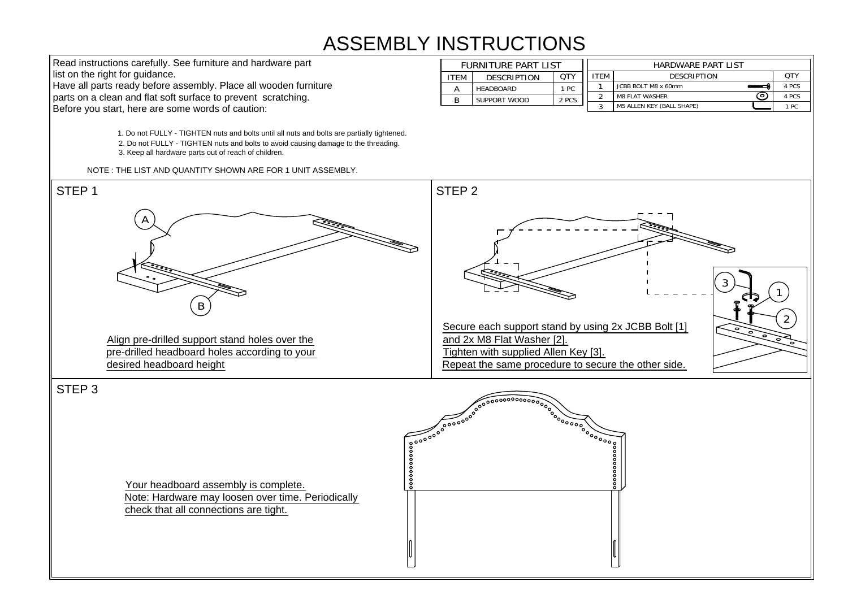## ASSEMBLY INSTRUCTIONS STRUCTIOI<br>furniture part list

| <b>INSTRUCTIONS</b> |                     |                    |            |                           |                                  |       |  |  |  |  |  |  |
|---------------------|---------------------|--------------------|------------|---------------------------|----------------------------------|-------|--|--|--|--|--|--|
|                     | FURNITURE PART LIST |                    |            | <b>HARDWARE PART LIST</b> |                                  |       |  |  |  |  |  |  |
|                     | <b>ITEM</b>         | <b>DESCRIPTION</b> | <b>OTY</b> | <b>ITEM</b>               | <b>DESCRIPTION</b>               | QTY   |  |  |  |  |  |  |
|                     | A                   | <b>HEADBOARD</b>   | 1 PC       |                           | JCBB BOLT M8 x 60mm              | 4 PCS |  |  |  |  |  |  |
|                     | B                   | SUPPORT WOOD       | 2 PCS      | ົ                         | o.<br><b>M8 FLAT WASHER</b>      | 4 PCS |  |  |  |  |  |  |
|                     |                     |                    |            | 3                         | <b>M5 ALLEN KEY (BALL SHAPE)</b> | 1 PC  |  |  |  |  |  |  |